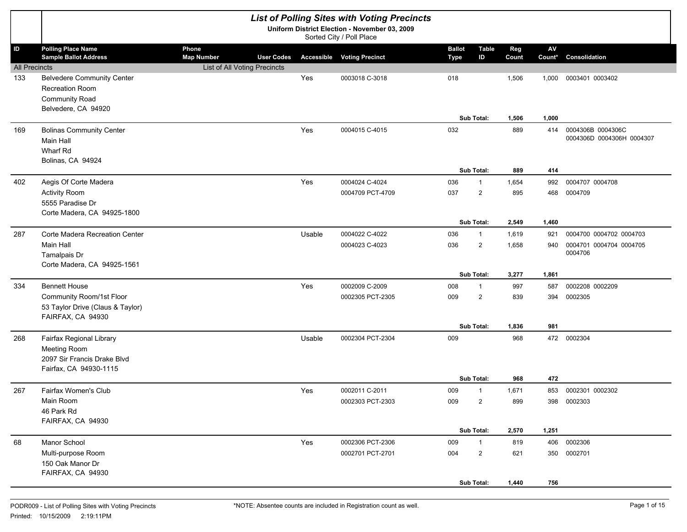|                            |                                                                                                             |                                                                                 |        | <b>List of Polling Sites with Voting Precincts</b>                        |                              |                              |                |              |                                                |
|----------------------------|-------------------------------------------------------------------------------------------------------------|---------------------------------------------------------------------------------|--------|---------------------------------------------------------------------------|------------------------------|------------------------------|----------------|--------------|------------------------------------------------|
|                            |                                                                                                             |                                                                                 |        | Uniform District Election - November 03, 2009<br>Sorted City / Poll Place |                              |                              |                |              |                                                |
| ID<br><b>All Precincts</b> | <b>Polling Place Name</b><br><b>Sample Ballot Address</b>                                                   | Phone<br><b>Map Number</b><br><b>User Codes</b><br>List of All Voting Precincts |        | <b>Accessible Voting Precinct</b>                                         | <b>Ballot</b><br><b>Type</b> | <b>Table</b><br>ID           | Reg<br>Count   | AV<br>Count* | Consolidation                                  |
| 133                        | <b>Belvedere Community Center</b><br><b>Recreation Room</b><br><b>Community Road</b><br>Belvedere, CA 94920 |                                                                                 | Yes    | 0003018 C-3018                                                            | 018                          |                              | 1,506          | 1,000        | 0003401 0003402                                |
|                            |                                                                                                             |                                                                                 |        |                                                                           |                              | Sub Total:                   | 1,506          | 1,000        |                                                |
| 169                        | <b>Bolinas Community Center</b><br>Main Hall<br>Wharf Rd<br>Bolinas, CA 94924                               |                                                                                 | Yes    | 0004015 C-4015                                                            | 032                          |                              | 889            | 414          | 0004306B 0004306C<br>0004306D 0004306H 0004307 |
|                            |                                                                                                             |                                                                                 |        |                                                                           |                              | Sub Total:                   | 889            | 414          |                                                |
| 402                        | Aegis Of Corte Madera                                                                                       |                                                                                 | Yes    | 0004024 C-4024                                                            | 036                          | $\mathbf{1}$                 | 1,654          | 992          | 0004707 0004708                                |
|                            | <b>Activity Room</b><br>5555 Paradise Dr<br>Corte Madera, CA 94925-1800                                     |                                                                                 |        | 0004709 PCT-4709                                                          | 037                          | $\overline{2}$               | 895            | 468          | 0004709                                        |
|                            |                                                                                                             |                                                                                 |        |                                                                           |                              | Sub Total:                   | 2,549          | 1,460        |                                                |
| 287                        | Corte Madera Recreation Center                                                                              |                                                                                 | Usable | 0004022 C-4022                                                            | 036                          | $\mathbf{1}$                 | 1,619          | 921          | 0004700 0004702 0004703                        |
|                            | <b>Main Hall</b><br>Tamalpais Dr<br>Corte Madera, CA 94925-1561                                             |                                                                                 |        | 0004023 C-4023                                                            | 036                          | $\overline{2}$<br>Sub Total: | 1,658<br>3,277 | 940<br>1,861 | 0004701 0004704 0004705<br>0004706             |
| 334                        | <b>Bennett House</b>                                                                                        |                                                                                 | Yes    | 0002009 C-2009                                                            | 008                          | $\mathbf{1}$                 | 997            | 587          | 0002208 0002209                                |
|                            | Community Room/1st Floor<br>53 Taylor Drive (Claus & Taylor)<br>FAIRFAX, CA 94930                           |                                                                                 |        | 0002305 PCT-2305                                                          | 009                          | $\overline{2}$               | 839            | 394          | 0002305                                        |
|                            |                                                                                                             |                                                                                 |        |                                                                           |                              | Sub Total:                   | 1,836          | 981          |                                                |
| 268                        | Fairfax Regional Library<br>Meeting Room<br>2097 Sir Francis Drake Blvd<br>Fairfax, CA 94930-1115           |                                                                                 | Usable | 0002304 PCT-2304                                                          | 009                          |                              | 968            | 472          | 0002304                                        |
| 267                        | Fairfax Women's Club                                                                                        |                                                                                 | Yes    | 0002011 C-2011                                                            | 009                          | Sub Total:<br>$\mathbf{1}$   | 968<br>1,671   | 472<br>853   | 0002301 0002302                                |
|                            | Main Room<br>46 Park Rd<br>FAIRFAX, CA 94930                                                                |                                                                                 |        | 0002303 PCT-2303                                                          | 009                          | $\overline{2}$               | 899            |              | 398 0002303                                    |
|                            |                                                                                                             |                                                                                 |        |                                                                           |                              | Sub Total:                   | 2,570          | 1,251        |                                                |
| 68                         | Manor School                                                                                                |                                                                                 | Yes    | 0002306 PCT-2306                                                          | 009                          | $\mathbf{1}$                 | 819            | 406          | 0002306                                        |
|                            | Multi-purpose Room<br>150 Oak Manor Dr<br>FAIRFAX, CA 94930                                                 |                                                                                 |        | 0002701 PCT-2701                                                          | 004                          | $\overline{2}$<br>Sub Total: | 621<br>1,440   | 756          | 350 0002701                                    |
|                            |                                                                                                             |                                                                                 |        |                                                                           |                              |                              |                |              |                                                |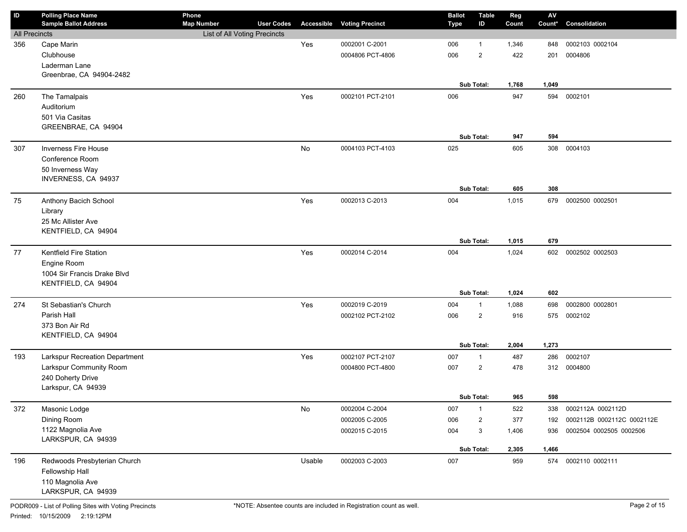| ID                   | <b>Polling Place Name</b><br><b>Sample Ballot Address</b> | Phone<br><b>Map Number</b>   | <b>User Codes</b> |        | <b>Accessible Voting Precinct</b> | <b>Ballot</b><br><b>Type</b> | <b>Table</b><br>ID | Reg<br>Count | $\mathsf{AV}$<br>Count* | Consolidation              |
|----------------------|-----------------------------------------------------------|------------------------------|-------------------|--------|-----------------------------------|------------------------------|--------------------|--------------|-------------------------|----------------------------|
| <b>All Precincts</b> |                                                           | List of All Voting Precincts |                   |        |                                   |                              |                    |              |                         |                            |
| 356                  | Cape Marin                                                |                              |                   | Yes    | 0002001 C-2001                    | 006                          | 1                  | 1,346        | 848                     | 0002103 0002104            |
|                      | Clubhouse                                                 |                              |                   |        | 0004806 PCT-4806                  | 006                          | $\overline{2}$     | 422          | 201                     | 0004806                    |
|                      | Laderman Lane                                             |                              |                   |        |                                   |                              |                    |              |                         |                            |
|                      | Greenbrae, CA 94904-2482                                  |                              |                   |        |                                   |                              |                    |              |                         |                            |
|                      |                                                           |                              |                   |        |                                   |                              | Sub Total:         | 1,768        | 1,049                   |                            |
| 260                  | The Tamalpais                                             |                              |                   | Yes    | 0002101 PCT-2101                  | 006                          |                    | 947          | 594                     | 0002101                    |
|                      | Auditorium                                                |                              |                   |        |                                   |                              |                    |              |                         |                            |
|                      | 501 Via Casitas                                           |                              |                   |        |                                   |                              |                    |              |                         |                            |
|                      | GREENBRAE, CA 94904                                       |                              |                   |        |                                   |                              |                    |              |                         |                            |
|                      |                                                           |                              |                   |        |                                   |                              | Sub Total:         | 947          | 594                     |                            |
| 307                  | <b>Inverness Fire House</b>                               |                              |                   | No     | 0004103 PCT-4103                  | 025                          |                    | 605          | 308                     | 0004103                    |
|                      | Conference Room                                           |                              |                   |        |                                   |                              |                    |              |                         |                            |
|                      | 50 Inverness Way                                          |                              |                   |        |                                   |                              |                    |              |                         |                            |
|                      | INVERNESS, CA 94937                                       |                              |                   |        |                                   |                              |                    |              |                         |                            |
|                      |                                                           |                              |                   |        |                                   |                              | Sub Total:         | 605          | 308                     |                            |
| 75                   | Anthony Bacich School                                     |                              |                   | Yes    | 0002013 C-2013                    | 004                          |                    | 1,015        | 679                     | 0002500 0002501            |
|                      | Library                                                   |                              |                   |        |                                   |                              |                    |              |                         |                            |
|                      | 25 Mc Allister Ave                                        |                              |                   |        |                                   |                              |                    |              |                         |                            |
|                      | KENTFIELD, CA 94904                                       |                              |                   |        |                                   |                              |                    |              |                         |                            |
|                      |                                                           |                              |                   |        |                                   |                              | Sub Total:         | 1,015        | 679                     |                            |
| 77                   | Kentfield Fire Station                                    |                              |                   | Yes    | 0002014 C-2014                    | 004                          |                    | 1,024        | 602                     | 0002502 0002503            |
|                      | Engine Room                                               |                              |                   |        |                                   |                              |                    |              |                         |                            |
|                      | 1004 Sir Francis Drake Blvd                               |                              |                   |        |                                   |                              |                    |              |                         |                            |
|                      | KENTFIELD, CA 94904                                       |                              |                   |        |                                   |                              |                    |              |                         |                            |
|                      |                                                           |                              |                   |        |                                   |                              | Sub Total:         | 1,024        | 602                     |                            |
| 274                  | St Sebastian's Church                                     |                              |                   | Yes    | 0002019 C-2019                    | 004                          | $\mathbf{1}$       | 1,088        | 698                     | 0002800 0002801            |
|                      | Parish Hall                                               |                              |                   |        | 0002102 PCT-2102                  | 006                          | $\overline{2}$     | 916          |                         | 575 0002102                |
|                      | 373 Bon Air Rd                                            |                              |                   |        |                                   |                              |                    |              |                         |                            |
|                      | KENTFIELD, CA 94904                                       |                              |                   |        |                                   |                              |                    |              |                         |                            |
|                      |                                                           |                              |                   |        |                                   |                              | Sub Total:         | 2,004        | 1,273                   |                            |
| 193                  | Larkspur Recreation Department                            |                              |                   | Yes    | 0002107 PCT-2107                  | 007                          | $\mathbf{1}$       | 487          | 286                     | 0002107                    |
|                      | Larkspur Community Room                                   |                              |                   |        | 0004800 PCT-4800                  | 007                          | $\overline{2}$     | 478          |                         | 312 0004800                |
|                      | 240 Doherty Drive                                         |                              |                   |        |                                   |                              |                    |              |                         |                            |
|                      | Larkspur, CA 94939                                        |                              |                   |        |                                   |                              |                    |              |                         |                            |
|                      |                                                           |                              |                   |        |                                   |                              | Sub Total:         | 965          | 598                     |                            |
| 372                  | Masonic Lodge                                             |                              |                   | No     | 0002004 C-2004                    | 007                          | $\mathbf{1}$       | 522          | 338                     | 0002112A 0002112D          |
|                      | Dining Room                                               |                              |                   |        | 0002005 C-2005                    | 006                          | $\overline{c}$     | 377          | 192                     | 0002112B 0002112C 0002112E |
|                      | 1122 Magnolia Ave                                         |                              |                   |        | 0002015 C-2015                    | 004                          | 3                  | 1,406        | 936                     | 0002504 0002505 0002506    |
|                      | LARKSPUR, CA 94939                                        |                              |                   |        |                                   |                              |                    |              |                         |                            |
|                      |                                                           |                              |                   |        |                                   |                              | Sub Total:         | 2,305        | 1,466                   |                            |
| 196                  | Redwoods Presbyterian Church                              |                              |                   | Usable | 0002003 C-2003                    | 007                          |                    | 959          | 574                     | 0002110 0002111            |
|                      | Fellowship Hall                                           |                              |                   |        |                                   |                              |                    |              |                         |                            |
|                      | 110 Magnolia Ave                                          |                              |                   |        |                                   |                              |                    |              |                         |                            |
|                      | LARKSPUR, CA 94939                                        |                              |                   |        |                                   |                              |                    |              |                         |                            |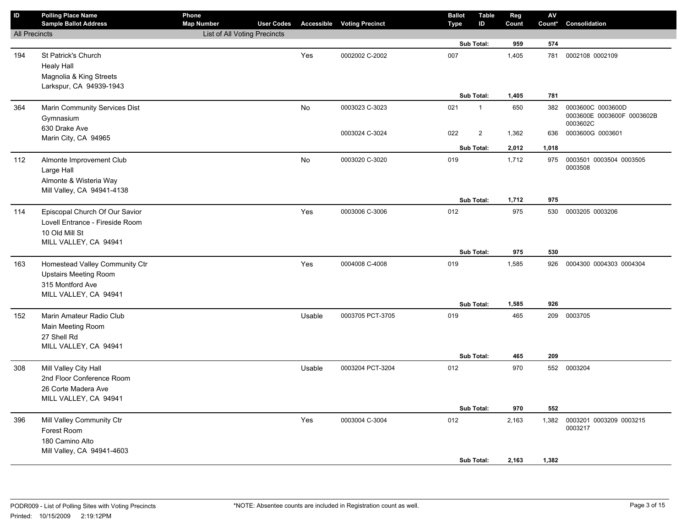| $\sf ID$             | <b>Polling Place Name</b><br><b>Sample Ballot Address</b> | Phone<br><b>Map Number</b>   | <b>User Codes</b> |        | <b>Accessible Voting Precinct</b> | <b>Ballot</b><br>Type | <b>Table</b><br>ID      | Reg<br>Count | ${\sf AV}$<br>Count* | Consolidation                          |
|----------------------|-----------------------------------------------------------|------------------------------|-------------------|--------|-----------------------------------|-----------------------|-------------------------|--------------|----------------------|----------------------------------------|
| <b>All Precincts</b> |                                                           | List of All Voting Precincts |                   |        |                                   |                       |                         |              |                      |                                        |
|                      |                                                           |                              |                   |        |                                   |                       | Sub Total:              | 959          | 574                  |                                        |
| 194                  | St Patrick's Church                                       |                              |                   | Yes    | 0002002 C-2002                    | 007                   |                         | 1,405        | 781                  | 0002108 0002109                        |
|                      | <b>Healy Hall</b>                                         |                              |                   |        |                                   |                       |                         |              |                      |                                        |
|                      | Magnolia & King Streets                                   |                              |                   |        |                                   |                       |                         |              |                      |                                        |
|                      | Larkspur, CA 94939-1943                                   |                              |                   |        |                                   |                       |                         |              |                      |                                        |
|                      |                                                           |                              |                   |        |                                   |                       | Sub Total:              | 1,405        | 781                  |                                        |
| 364                  | Marin Community Services Dist                             |                              |                   | No     | 0003023 C-3023                    | 021                   | $\mathbf{1}$            | 650          | 382                  | 0003600C 0003600D                      |
|                      | Gymnasium                                                 |                              |                   |        |                                   |                       |                         |              |                      | 0003600E 0003600F 0003602B<br>0003602C |
|                      | 630 Drake Ave                                             |                              |                   |        | 0003024 C-3024                    | 022                   | $\overline{\mathbf{c}}$ | 1,362        | 636                  | 0003600G 0003601                       |
|                      | Marin City, CA 94965                                      |                              |                   |        |                                   |                       | Sub Total:              | 2,012        | 1,018                |                                        |
|                      |                                                           |                              |                   |        |                                   |                       |                         |              |                      |                                        |
| 112                  | Almonte Improvement Club                                  |                              |                   | No     | 0003020 C-3020                    | 019                   |                         | 1,712        | 975                  | 0003501 0003504 0003505<br>0003508     |
|                      | Large Hall                                                |                              |                   |        |                                   |                       |                         |              |                      |                                        |
|                      | Almonte & Wisteria Way<br>Mill Valley, CA 94941-4138      |                              |                   |        |                                   |                       |                         |              |                      |                                        |
|                      |                                                           |                              |                   |        |                                   |                       | Sub Total:              | 1,712        | 975                  |                                        |
| 114                  | Episcopal Church Of Our Savior                            |                              |                   | Yes    | 0003006 C-3006                    | 012                   |                         | 975          | 530                  | 0003205 0003206                        |
|                      | Lovell Entrance - Fireside Room                           |                              |                   |        |                                   |                       |                         |              |                      |                                        |
|                      | 10 Old Mill St                                            |                              |                   |        |                                   |                       |                         |              |                      |                                        |
|                      | MILL VALLEY, CA 94941                                     |                              |                   |        |                                   |                       |                         |              |                      |                                        |
|                      |                                                           |                              |                   |        |                                   |                       | Sub Total:              | 975          | 530                  |                                        |
| 163                  | Homestead Valley Community Ctr                            |                              |                   | Yes    | 0004008 C-4008                    | 019                   |                         | 1,585        | 926                  | 0004300 0004303 0004304                |
|                      | <b>Upstairs Meeting Room</b>                              |                              |                   |        |                                   |                       |                         |              |                      |                                        |
|                      | 315 Montford Ave                                          |                              |                   |        |                                   |                       |                         |              |                      |                                        |
|                      | MILL VALLEY, CA 94941                                     |                              |                   |        |                                   |                       |                         |              |                      |                                        |
|                      |                                                           |                              |                   |        |                                   |                       | Sub Total:              | 1,585        | 926                  |                                        |
| 152                  | Marin Amateur Radio Club                                  |                              |                   | Usable | 0003705 PCT-3705                  | 019                   |                         | 465          | 209                  | 0003705                                |
|                      | Main Meeting Room                                         |                              |                   |        |                                   |                       |                         |              |                      |                                        |
|                      | 27 Shell Rd<br>MILL VALLEY, CA 94941                      |                              |                   |        |                                   |                       |                         |              |                      |                                        |
|                      |                                                           |                              |                   |        |                                   |                       | Sub Total:              | 465          | 209                  |                                        |
| 308                  | Mill Valley City Hall                                     |                              |                   | Usable | 0003204 PCT-3204                  | 012                   |                         | 970          |                      | 552 0003204                            |
|                      | 2nd Floor Conference Room                                 |                              |                   |        |                                   |                       |                         |              |                      |                                        |
|                      | 26 Corte Madera Ave                                       |                              |                   |        |                                   |                       |                         |              |                      |                                        |
|                      | MILL VALLEY, CA 94941                                     |                              |                   |        |                                   |                       |                         |              |                      |                                        |
|                      |                                                           |                              |                   |        |                                   |                       | Sub Total:              | 970          | 552                  |                                        |
| 396                  | Mill Valley Community Ctr                                 |                              |                   | Yes    | 0003004 C-3004                    | 012                   |                         | 2,163        | 1,382                | 0003201 0003209 0003215                |
|                      | Forest Room                                               |                              |                   |        |                                   |                       |                         |              |                      | 0003217                                |
|                      | 180 Camino Alto                                           |                              |                   |        |                                   |                       |                         |              |                      |                                        |
|                      | Mill Valley, CA 94941-4603                                |                              |                   |        |                                   |                       |                         |              |                      |                                        |
|                      |                                                           |                              |                   |        |                                   |                       | Sub Total:              | 2,163        | 1,382                |                                        |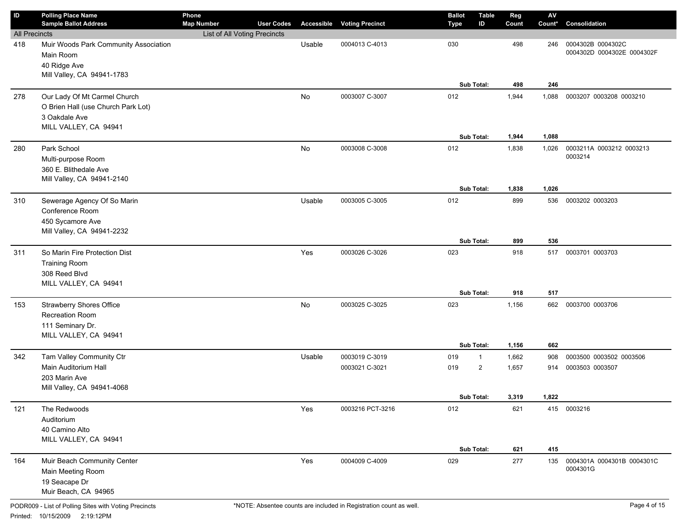| ID                   | <b>Polling Place Name</b>             | Phone                        |                   |        |                                   | <b>Ballot</b> | <b>Table</b>   | Reg   | $\mathsf{A}\mathsf{V}$ |                            |
|----------------------|---------------------------------------|------------------------------|-------------------|--------|-----------------------------------|---------------|----------------|-------|------------------------|----------------------------|
|                      | <b>Sample Ballot Address</b>          | <b>Map Number</b>            | <b>User Codes</b> |        | <b>Accessible Voting Precinct</b> | <b>Type</b>   | ID             | Count | Count*                 | Consolidation              |
| <b>All Precincts</b> |                                       | List of All Voting Precincts |                   |        |                                   |               |                |       |                        |                            |
| 418                  | Muir Woods Park Community Association |                              |                   | Usable | 0004013 C-4013                    | 030           |                | 498   | 246                    | 0004302B 0004302C          |
|                      | Main Room                             |                              |                   |        |                                   |               |                |       |                        | 0004302D 0004302E 0004302F |
|                      | 40 Ridge Ave                          |                              |                   |        |                                   |               |                |       |                        |                            |
|                      | Mill Valley, CA 94941-1783            |                              |                   |        |                                   |               |                |       |                        |                            |
|                      |                                       |                              |                   |        |                                   |               | Sub Total:     | 498   | 246                    |                            |
| 278                  | Our Lady Of Mt Carmel Church          |                              |                   | No     | 0003007 C-3007                    | 012           |                | 1,944 | 1,088                  | 0003207 0003208 0003210    |
|                      | O Brien Hall (use Church Park Lot)    |                              |                   |        |                                   |               |                |       |                        |                            |
|                      | 3 Oakdale Ave                         |                              |                   |        |                                   |               |                |       |                        |                            |
|                      | MILL VALLEY, CA 94941                 |                              |                   |        |                                   |               |                |       |                        |                            |
|                      |                                       |                              |                   |        |                                   |               | Sub Total:     | 1,944 | 1,088                  |                            |
| 280                  | Park School                           |                              |                   | No     | 0003008 C-3008                    | 012           |                | 1,838 | 1,026                  | 0003211A 0003212 0003213   |
|                      | Multi-purpose Room                    |                              |                   |        |                                   |               |                |       |                        | 0003214                    |
|                      | 360 E. Blithedale Ave                 |                              |                   |        |                                   |               |                |       |                        |                            |
|                      | Mill Valley, CA 94941-2140            |                              |                   |        |                                   |               |                |       |                        |                            |
|                      |                                       |                              |                   |        |                                   |               | Sub Total:     | 1,838 | 1,026                  |                            |
| 310                  | Sewerage Agency Of So Marin           |                              |                   | Usable | 0003005 C-3005                    | 012           |                | 899   | 536                    | 0003202 0003203            |
|                      | Conference Room                       |                              |                   |        |                                   |               |                |       |                        |                            |
|                      | 450 Sycamore Ave                      |                              |                   |        |                                   |               |                |       |                        |                            |
|                      | Mill Valley, CA 94941-2232            |                              |                   |        |                                   |               |                |       |                        |                            |
|                      |                                       |                              |                   |        |                                   |               | Sub Total:     | 899   | 536                    |                            |
| 311                  | So Marin Fire Protection Dist         |                              |                   | Yes    | 0003026 C-3026                    | 023           |                | 918   | 517                    | 0003701 0003703            |
|                      | <b>Training Room</b>                  |                              |                   |        |                                   |               |                |       |                        |                            |
|                      | 308 Reed Blvd                         |                              |                   |        |                                   |               |                |       |                        |                            |
|                      | MILL VALLEY, CA 94941                 |                              |                   |        |                                   |               |                |       |                        |                            |
|                      |                                       |                              |                   |        |                                   |               | Sub Total:     | 918   | 517                    |                            |
| 153                  | <b>Strawberry Shores Office</b>       |                              |                   | No     | 0003025 C-3025                    | 023           |                | 1,156 | 662                    | 0003700 0003706            |
|                      |                                       |                              |                   |        |                                   |               |                |       |                        |                            |
|                      | Recreation Room                       |                              |                   |        |                                   |               |                |       |                        |                            |
|                      | 111 Seminary Dr.                      |                              |                   |        |                                   |               |                |       |                        |                            |
|                      | MILL VALLEY, CA 94941                 |                              |                   |        |                                   |               | Sub Total:     | 1,156 | 662                    |                            |
|                      |                                       |                              |                   |        |                                   |               |                |       |                        |                            |
| 342                  | Tam Valley Community Ctr              |                              |                   | Usable | 0003019 C-3019                    | 019           | $\mathbf{1}$   | 1,662 | 908                    | 0003500 0003502 0003506    |
|                      | Main Auditorium Hall                  |                              |                   |        | 0003021 C-3021                    | 019           | $\overline{2}$ | 1,657 | 914                    | 0003503 0003507            |
|                      | 203 Marin Ave                         |                              |                   |        |                                   |               |                |       |                        |                            |
|                      | Mill Valley, CA 94941-4068            |                              |                   |        |                                   |               |                |       |                        |                            |
|                      |                                       |                              |                   |        |                                   |               | Sub Total:     | 3,319 | 1,822                  |                            |
| 121                  | The Redwoods                          |                              |                   | Yes    | 0003216 PCT-3216                  | 012           |                | 621   |                        | 415 0003216                |
|                      | Auditorium                            |                              |                   |        |                                   |               |                |       |                        |                            |
|                      | 40 Camino Alto                        |                              |                   |        |                                   |               |                |       |                        |                            |
|                      | MILL VALLEY, CA 94941                 |                              |                   |        |                                   |               |                |       |                        |                            |
|                      |                                       |                              |                   |        |                                   |               | Sub Total:     | 621   | 415                    |                            |
| 164                  | Muir Beach Community Center           |                              |                   | Yes    | 0004009 C-4009                    | 029           |                | 277   | 135                    | 0004301A 0004301B 0004301C |
|                      | Main Meeting Room                     |                              |                   |        |                                   |               |                |       |                        | 0004301G                   |
|                      | 19 Seacape Dr                         |                              |                   |        |                                   |               |                |       |                        |                            |
|                      | Muir Beach, CA 94965                  |                              |                   |        |                                   |               |                |       |                        |                            |
|                      |                                       |                              |                   |        |                                   |               |                |       |                        |                            |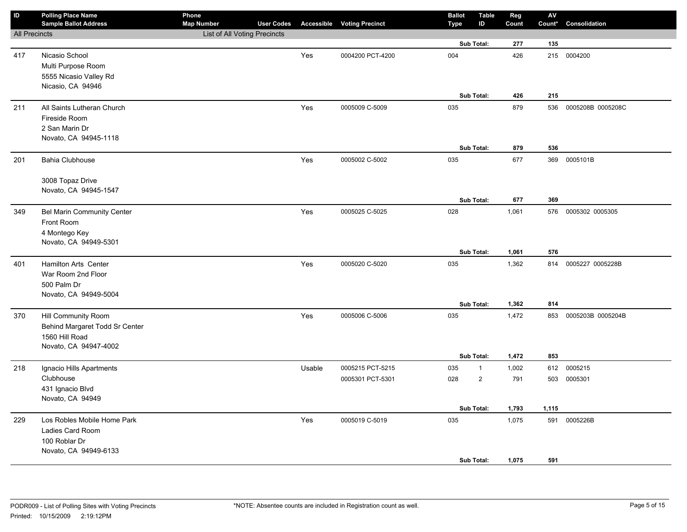| $\sf ID$             | <b>Polling Place Name</b><br><b>Sample Ballot Address</b> | Phone<br><b>Map Number</b>   | <b>User Codes</b> |        | <b>Accessible Voting Precinct</b> | <b>Ballot</b><br>Type | <b>Table</b><br>ID | Reg<br>Count | ${\sf AV}$<br>Count* | Consolidation     |
|----------------------|-----------------------------------------------------------|------------------------------|-------------------|--------|-----------------------------------|-----------------------|--------------------|--------------|----------------------|-------------------|
| <b>All Precincts</b> |                                                           | List of All Voting Precincts |                   |        |                                   |                       |                    |              |                      |                   |
|                      |                                                           |                              |                   |        |                                   |                       | Sub Total:         | 277          | 135                  |                   |
| 417                  | Nicasio School                                            |                              |                   | Yes    | 0004200 PCT-4200                  | 004                   |                    | 426          |                      | 215 0004200       |
|                      | Multi Purpose Room                                        |                              |                   |        |                                   |                       |                    |              |                      |                   |
|                      | 5555 Nicasio Valley Rd                                    |                              |                   |        |                                   |                       |                    |              |                      |                   |
|                      | Nicasio, CA 94946                                         |                              |                   |        |                                   |                       |                    |              |                      |                   |
|                      |                                                           |                              |                   |        |                                   |                       | Sub Total:         | 426          | 215                  |                   |
| 211                  | All Saints Lutheran Church                                |                              |                   | Yes    | 0005009 C-5009                    | 035                   |                    | 879          | 536                  | 0005208B 0005208C |
|                      | Fireside Room                                             |                              |                   |        |                                   |                       |                    |              |                      |                   |
|                      | 2 San Marin Dr                                            |                              |                   |        |                                   |                       |                    |              |                      |                   |
|                      | Novato, CA 94945-1118                                     |                              |                   |        |                                   |                       | Sub Total:         | 879          | 536                  |                   |
|                      |                                                           |                              |                   |        |                                   | 035                   |                    | 677          |                      | 0005101B          |
| 201                  | <b>Bahia Clubhouse</b>                                    |                              |                   | Yes    | 0005002 C-5002                    |                       |                    |              | 369                  |                   |
|                      | 3008 Topaz Drive                                          |                              |                   |        |                                   |                       |                    |              |                      |                   |
|                      | Novato, CA 94945-1547                                     |                              |                   |        |                                   |                       |                    |              |                      |                   |
|                      |                                                           |                              |                   |        |                                   |                       | Sub Total:         | 677          | 369                  |                   |
| 349                  | Bel Marin Community Center                                |                              |                   | Yes    | 0005025 C-5025                    | 028                   |                    | 1,061        | 576                  | 0005302 0005305   |
|                      | Front Room                                                |                              |                   |        |                                   |                       |                    |              |                      |                   |
|                      | 4 Montego Key                                             |                              |                   |        |                                   |                       |                    |              |                      |                   |
|                      | Novato, CA 94949-5301                                     |                              |                   |        |                                   |                       |                    |              |                      |                   |
|                      |                                                           |                              |                   |        |                                   |                       | Sub Total:         | 1,061        | 576                  |                   |
| 401                  | Hamilton Arts Center                                      |                              |                   | Yes    | 0005020 C-5020                    | 035                   |                    | 1,362        | 814                  | 0005227 0005228B  |
|                      | War Room 2nd Floor                                        |                              |                   |        |                                   |                       |                    |              |                      |                   |
|                      | 500 Palm Dr                                               |                              |                   |        |                                   |                       |                    |              |                      |                   |
|                      | Novato, CA 94949-5004                                     |                              |                   |        |                                   |                       |                    |              |                      |                   |
|                      |                                                           |                              |                   |        |                                   |                       | Sub Total:         | 1,362        | 814                  |                   |
| 370                  | Hill Community Room                                       |                              |                   | Yes    | 0005006 C-5006                    | 035                   |                    | 1,472        | 853                  | 0005203B 0005204B |
|                      | Behind Margaret Todd Sr Center                            |                              |                   |        |                                   |                       |                    |              |                      |                   |
|                      | 1560 Hill Road                                            |                              |                   |        |                                   |                       |                    |              |                      |                   |
|                      | Novato, CA 94947-4002                                     |                              |                   |        |                                   |                       | Sub Total:         | 1,472        | 853                  |                   |
| 218                  | Ignacio Hills Apartments                                  |                              |                   | Usable | 0005215 PCT-5215                  | 035                   | $\mathbf{1}$       | 1,002        | 612                  | 0005215           |
|                      | Clubhouse                                                 |                              |                   |        | 0005301 PCT-5301                  | 028                   | $\overline{c}$     | 791          | 503                  | 0005301           |
|                      | 431 Ignacio Blvd                                          |                              |                   |        |                                   |                       |                    |              |                      |                   |
|                      | Novato, CA 94949                                          |                              |                   |        |                                   |                       |                    |              |                      |                   |
|                      |                                                           |                              |                   |        |                                   |                       | Sub Total:         | 1,793        | 1,115                |                   |
| 229                  | Los Robles Mobile Home Park                               |                              |                   | Yes    | 0005019 C-5019                    | 035                   |                    | 1,075        | 591                  | 0005226B          |
|                      | Ladies Card Room                                          |                              |                   |        |                                   |                       |                    |              |                      |                   |
|                      | 100 Roblar Dr                                             |                              |                   |        |                                   |                       |                    |              |                      |                   |
|                      | Novato, CA 94949-6133                                     |                              |                   |        |                                   |                       |                    |              |                      |                   |
|                      |                                                           |                              |                   |        |                                   |                       | Sub Total:         | 1,075        | 591                  |                   |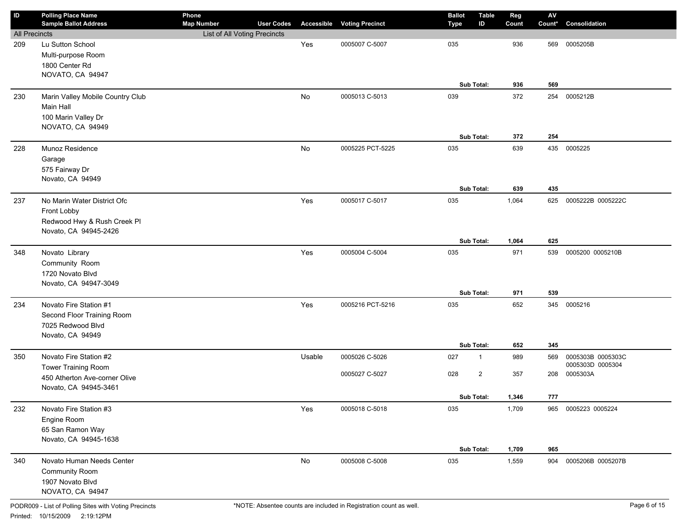| ID                   | <b>Polling Place Name</b><br><b>Sample Ballot Address</b> | Phone<br><b>Map Number</b>   | <b>User Codes</b> |        | <b>Accessible Voting Precinct</b> | <b>Ballot</b> | <b>Table</b><br>ID | Reg<br>Count | $\mathsf{A}\mathsf{V}$<br>Count* | Consolidation       |
|----------------------|-----------------------------------------------------------|------------------------------|-------------------|--------|-----------------------------------|---------------|--------------------|--------------|----------------------------------|---------------------|
| <b>All Precincts</b> |                                                           | List of All Voting Precincts |                   |        |                                   | Type          |                    |              |                                  |                     |
|                      | Lu Sutton School                                          |                              |                   | Yes    | 0005007 C-5007                    | 035           |                    | 936          | 569                              | 0005205B            |
| 209                  | Multi-purpose Room                                        |                              |                   |        |                                   |               |                    |              |                                  |                     |
|                      | 1800 Center Rd                                            |                              |                   |        |                                   |               |                    |              |                                  |                     |
|                      | NOVATO, CA 94947                                          |                              |                   |        |                                   |               |                    |              |                                  |                     |
|                      |                                                           |                              |                   |        |                                   |               | Sub Total:         | 936          | 569                              |                     |
|                      |                                                           |                              |                   |        |                                   |               |                    |              |                                  |                     |
| 230                  | Marin Valley Mobile Country Club                          |                              |                   | No     | 0005013 C-5013                    | 039           |                    | 372          | 254                              | 0005212B            |
|                      | Main Hall                                                 |                              |                   |        |                                   |               |                    |              |                                  |                     |
|                      | 100 Marin Valley Dr                                       |                              |                   |        |                                   |               |                    |              |                                  |                     |
|                      | NOVATO, CA 94949                                          |                              |                   |        |                                   |               | Sub Total:         | 372          | 254                              |                     |
|                      |                                                           |                              |                   |        |                                   |               |                    |              |                                  |                     |
| 228                  | Munoz Residence                                           |                              |                   | No     | 0005225 PCT-5225                  | 035           |                    | 639          |                                  | 435 0005225         |
|                      | Garage                                                    |                              |                   |        |                                   |               |                    |              |                                  |                     |
|                      | 575 Fairway Dr                                            |                              |                   |        |                                   |               |                    |              |                                  |                     |
|                      | Novato, CA 94949                                          |                              |                   |        |                                   |               | Sub Total:         | 639          | 435                              |                     |
|                      |                                                           |                              |                   |        |                                   |               |                    |              |                                  |                     |
| 237                  | No Marin Water District Ofc                               |                              |                   | Yes    | 0005017 C-5017                    | 035           |                    | 1,064        | 625                              | 0005222B 0005222C   |
|                      | Front Lobby                                               |                              |                   |        |                                   |               |                    |              |                                  |                     |
|                      | Redwood Hwy & Rush Creek Pl<br>Novato, CA 94945-2426      |                              |                   |        |                                   |               |                    |              |                                  |                     |
|                      |                                                           |                              |                   |        |                                   |               | Sub Total:         | 1,064        | 625                              |                     |
|                      |                                                           |                              |                   |        |                                   |               |                    |              |                                  |                     |
| 348                  | Novato Library                                            |                              |                   | Yes    | 0005004 C-5004                    | 035           |                    | 971          | 539                              | 0005200 0005210B    |
|                      | Community Room                                            |                              |                   |        |                                   |               |                    |              |                                  |                     |
|                      | 1720 Novato Blvd                                          |                              |                   |        |                                   |               |                    |              |                                  |                     |
|                      | Novato, CA 94947-3049                                     |                              |                   |        |                                   |               | Sub Total:         | 971          | 539                              |                     |
|                      |                                                           |                              |                   |        |                                   |               |                    |              |                                  |                     |
| 234                  | Novato Fire Station #1                                    |                              |                   | Yes    | 0005216 PCT-5216                  | 035           |                    | 652          |                                  | 345 0005216         |
|                      | Second Floor Training Room                                |                              |                   |        |                                   |               |                    |              |                                  |                     |
|                      | 7025 Redwood Blvd<br>Novato, CA 94949                     |                              |                   |        |                                   |               |                    |              |                                  |                     |
|                      |                                                           |                              |                   |        |                                   |               | Sub Total:         | 652          | 345                              |                     |
| 350                  | Novato Fire Station #2                                    |                              |                   | Usable | 0005026 C-5026                    | 027           | $\mathbf{1}$       | 989          | 569                              | 0005303B 0005303C   |
|                      | Tower Training Room                                       |                              |                   |        |                                   |               |                    |              |                                  | 0005303D 0005304    |
|                      | 450 Atherton Ave-corner Olive                             |                              |                   |        | 0005027 C-5027                    | 028           | $\overline{2}$     | 357          | 208                              | 0005303A            |
|                      | Novato, CA 94945-3461                                     |                              |                   |        |                                   |               |                    |              |                                  |                     |
|                      |                                                           |                              |                   |        |                                   |               | Sub Total:         | 1,346        | 777                              |                     |
| 232                  | Novato Fire Station #3                                    |                              |                   | Yes    | 0005018 C-5018                    | 035           |                    | 1,709        |                                  | 965 0005223 0005224 |
|                      | Engine Room                                               |                              |                   |        |                                   |               |                    |              |                                  |                     |
|                      | 65 San Ramon Way                                          |                              |                   |        |                                   |               |                    |              |                                  |                     |
|                      | Novato, CA 94945-1638                                     |                              |                   |        |                                   |               |                    |              |                                  |                     |
|                      |                                                           |                              |                   |        |                                   |               | Sub Total:         | 1,709        | 965                              |                     |
| 340                  | Novato Human Needs Center                                 |                              |                   | No     | 0005008 C-5008                    | 035           |                    | 1,559        | 904                              | 0005206B 0005207B   |
|                      | <b>Community Room</b>                                     |                              |                   |        |                                   |               |                    |              |                                  |                     |
|                      | 1907 Novato Blvd                                          |                              |                   |        |                                   |               |                    |              |                                  |                     |
|                      | NOVATO, CA 94947                                          |                              |                   |        |                                   |               |                    |              |                                  |                     |
|                      |                                                           |                              |                   |        |                                   |               |                    |              |                                  |                     |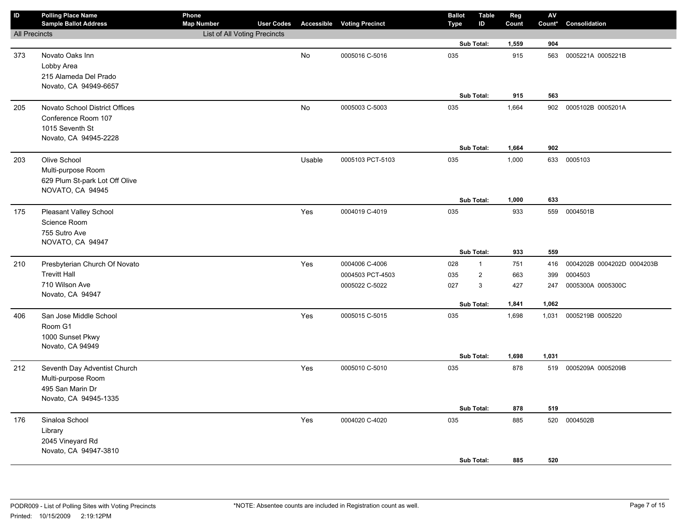| $\sf ID$             | <b>Polling Place Name</b><br><b>Sample Ballot Address</b> | Phone<br><b>Map Number</b>   | <b>User Codes</b> |           | <b>Accessible Voting Precinct</b> | <b>Ballot</b><br><b>Type</b> | <b>Table</b><br>ID | Reg<br>Count | ${\sf AV}$<br>Count* | Consolidation              |
|----------------------|-----------------------------------------------------------|------------------------------|-------------------|-----------|-----------------------------------|------------------------------|--------------------|--------------|----------------------|----------------------------|
| <b>All Precincts</b> |                                                           | List of All Voting Precincts |                   |           |                                   |                              |                    |              |                      |                            |
|                      |                                                           |                              |                   |           |                                   |                              | Sub Total:         | 1,559        | 904                  |                            |
| 373                  | Novato Oaks Inn                                           |                              |                   | <b>No</b> | 0005016 C-5016                    | 035                          |                    | 915          | 563                  | 0005221A 0005221B          |
|                      | Lobby Area                                                |                              |                   |           |                                   |                              |                    |              |                      |                            |
|                      | 215 Alameda Del Prado                                     |                              |                   |           |                                   |                              |                    |              |                      |                            |
|                      | Novato, CA 94949-6657                                     |                              |                   |           |                                   |                              |                    |              |                      |                            |
|                      |                                                           |                              |                   |           |                                   |                              | Sub Total:         | 915          | 563                  |                            |
| 205                  | Novato School District Offices                            |                              |                   | No        | 0005003 C-5003                    | 035                          |                    | 1,664        | 902                  | 0005102B 0005201A          |
|                      | Conference Room 107                                       |                              |                   |           |                                   |                              |                    |              |                      |                            |
|                      | 1015 Seventh St                                           |                              |                   |           |                                   |                              |                    |              |                      |                            |
|                      | Novato, CA 94945-2228                                     |                              |                   |           |                                   |                              |                    |              |                      |                            |
|                      |                                                           |                              |                   |           |                                   |                              | Sub Total:         | 1,664        | 902                  |                            |
| 203                  | Olive School                                              |                              |                   | Usable    | 0005103 PCT-5103                  | 035                          |                    | 1,000        | 633                  | 0005103                    |
|                      | Multi-purpose Room                                        |                              |                   |           |                                   |                              |                    |              |                      |                            |
|                      | 629 Plum St-park Lot Off Olive                            |                              |                   |           |                                   |                              |                    |              |                      |                            |
|                      | NOVATO, CA 94945                                          |                              |                   |           |                                   |                              |                    |              |                      |                            |
|                      |                                                           |                              |                   |           |                                   |                              | Sub Total:         | 1,000        | 633                  |                            |
| 175                  | Pleasant Valley School                                    |                              |                   | Yes       | 0004019 C-4019                    | 035                          |                    | 933          |                      | 559 0004501B               |
|                      | Science Room                                              |                              |                   |           |                                   |                              |                    |              |                      |                            |
|                      | 755 Sutro Ave                                             |                              |                   |           |                                   |                              |                    |              |                      |                            |
|                      | NOVATO, CA 94947                                          |                              |                   |           |                                   |                              | Sub Total:         | 933          | 559                  |                            |
| 210                  | Presbyterian Church Of Novato                             |                              |                   | Yes       | 0004006 C-4006                    | 028                          | $\mathbf{1}$       | 751          | 416                  | 0004202B 0004202D 0004203B |
|                      | <b>Trevitt Hall</b>                                       |                              |                   |           | 0004503 PCT-4503                  |                              | $\overline{2}$     |              |                      | 0004503                    |
|                      | 710 Wilson Ave                                            |                              |                   |           |                                   | 035                          |                    | 663          | 399                  |                            |
|                      | Novato, CA 94947                                          |                              |                   |           | 0005022 C-5022                    | 027                          | 3                  | 427          | 247                  | 0005300A 0005300C          |
|                      |                                                           |                              |                   |           |                                   |                              | Sub Total:         | 1,841        | 1,062                |                            |
| 406                  | San Jose Middle School                                    |                              |                   | Yes       | 0005015 C-5015                    | 035                          |                    | 1,698        | 1,031                | 0005219B 0005220           |
|                      | Room G1                                                   |                              |                   |           |                                   |                              |                    |              |                      |                            |
|                      | 1000 Sunset Pkwy                                          |                              |                   |           |                                   |                              |                    |              |                      |                            |
|                      | Novato, CA 94949                                          |                              |                   |           |                                   |                              |                    |              |                      |                            |
|                      |                                                           |                              |                   |           |                                   |                              | Sub Total:         | 1,698        | 1,031                |                            |
| 212                  | Seventh Day Adventist Church                              |                              |                   | Yes       | 0005010 C-5010                    | 035                          |                    | 878          |                      | 519 0005209A 0005209B      |
|                      | Multi-purpose Room                                        |                              |                   |           |                                   |                              |                    |              |                      |                            |
|                      | 495 San Marin Dr                                          |                              |                   |           |                                   |                              |                    |              |                      |                            |
|                      | Novato, CA 94945-1335                                     |                              |                   |           |                                   |                              |                    |              |                      |                            |
|                      |                                                           |                              |                   |           |                                   |                              | Sub Total:         | 878          | 519                  |                            |
| 176                  | Sinaloa School                                            |                              |                   | Yes       | 0004020 C-4020                    | 035                          |                    | 885          | 520                  | 0004502B                   |
|                      | Library                                                   |                              |                   |           |                                   |                              |                    |              |                      |                            |
|                      | 2045 Vineyard Rd                                          |                              |                   |           |                                   |                              |                    |              |                      |                            |
|                      | Novato, CA 94947-3810                                     |                              |                   |           |                                   |                              |                    |              |                      |                            |
|                      |                                                           |                              |                   |           |                                   |                              | Sub Total:         | 885          | 520                  |                            |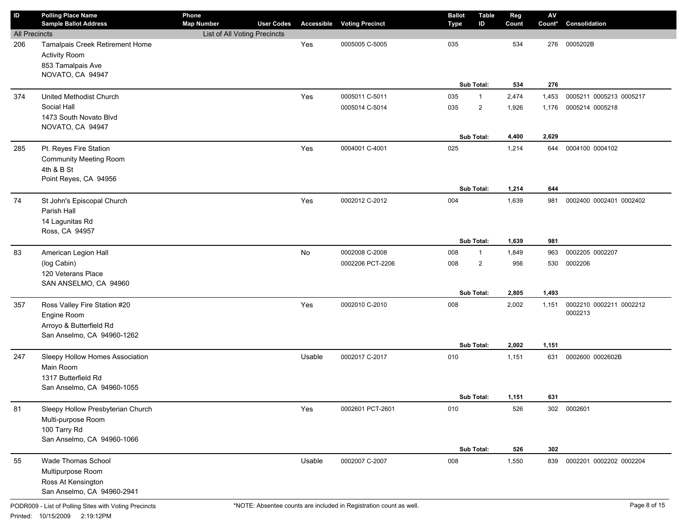| ID                   | <b>Polling Place Name</b><br><b>Sample Ballot Address</b>                                             | Phone<br><b>Map Number</b>   | <b>User Codes</b> |        | <b>Accessible Voting Precinct</b> | <b>Ballot</b><br>Type | <b>Table</b><br>ID | Reg<br>Count   | AV<br>Count*   | Consolidation                      |
|----------------------|-------------------------------------------------------------------------------------------------------|------------------------------|-------------------|--------|-----------------------------------|-----------------------|--------------------|----------------|----------------|------------------------------------|
| <b>All Precincts</b> |                                                                                                       | List of All Voting Precincts |                   |        |                                   |                       |                    |                |                |                                    |
| 206                  | Tamalpais Creek Retirement Home<br><b>Activity Room</b><br>853 Tamalpais Ave<br>NOVATO, CA 94947      |                              |                   | Yes    | 0005005 C-5005                    | 035                   | Sub Total:         | 534<br>534     | 276<br>276     | 0005202B                           |
|                      |                                                                                                       |                              |                   |        |                                   |                       |                    |                |                |                                    |
| 374                  | United Methodist Church<br>Social Hall                                                                |                              |                   | Yes    | 0005011 C-5011                    | 035                   | $\mathbf{1}$       | 2,474          | 1,453          | 0005211 0005213 0005217            |
|                      | 1473 South Novato Blvd                                                                                |                              |                   |        | 0005014 C-5014                    | 035                   | $\overline{2}$     | 1,926          | 1,176          | 0005214 0005218                    |
|                      | NOVATO, CA 94947                                                                                      |                              |                   |        |                                   |                       |                    |                |                |                                    |
|                      |                                                                                                       |                              |                   |        |                                   |                       | Sub Total:         | 4,400          | 2,629          |                                    |
| 285                  | Pt. Reyes Fire Station<br><b>Community Meeting Room</b><br>4th & B St<br>Point Reyes, CA 94956        |                              |                   | Yes    | 0004001 C-4001                    | 025                   |                    | 1,214          | 644            | 0004100 0004102                    |
|                      |                                                                                                       |                              |                   |        |                                   |                       | <b>Sub Total:</b>  | 1,214          | 644            |                                    |
| 74                   | St John's Episcopal Church<br>Parish Hall<br>14 Lagunitas Rd<br>Ross, CA 94957                        |                              |                   | Yes    | 0002012 C-2012                    | 004                   |                    | 1,639          | 981            | 0002400 0002401 0002402            |
|                      |                                                                                                       |                              |                   |        |                                   |                       | Sub Total:         | 1,639          | 981            |                                    |
| 83                   | American Legion Hall                                                                                  |                              |                   | No     | 0002008 C-2008                    | 008                   | $\mathbf{1}$       | 1,849          | 963            | 0002205 0002207                    |
|                      | (log Cabin)<br>120 Veterans Place<br>SAN ANSELMO, CA 94960                                            |                              |                   |        | 0002206 PCT-2206                  | 008                   | $\overline{2}$     | 956            | 530            | 0002206                            |
|                      |                                                                                                       |                              |                   |        |                                   |                       | Sub Total:         | 2,805          | 1,493          |                                    |
| 357                  | Ross Valley Fire Station #20<br>Engine Room<br>Arroyo & Butterfield Rd<br>San Anselmo, CA 94960-1262  |                              |                   | Yes    | 0002010 C-2010                    | 008                   | Sub Total:         | 2,002<br>2,002 | 1,151<br>1,151 | 0002210 0002211 0002212<br>0002213 |
| 247                  | Sleepy Hollow Homes Association<br>Main Room<br>1317 Butterfield Rd<br>San Anselmo, CA 94960-1055     |                              |                   | Usable | 0002017 C-2017                    | 010                   |                    | 1,151          | 631            | 0002600 0002602B                   |
|                      |                                                                                                       |                              |                   |        |                                   |                       | Sub Total:         | 1,151          | 631            |                                    |
| 81                   | Sleepy Hollow Presbyterian Church<br>Multi-purpose Room<br>100 Tarry Rd<br>San Anselmo, CA 94960-1066 |                              |                   | Yes    | 0002601 PCT-2601                  | 010                   |                    | 526            |                | 302 0002601                        |
|                      | Wade Thomas School                                                                                    |                              |                   |        |                                   |                       | Sub Total:         | 526            | 302            |                                    |
| 55                   | Multipurpose Room<br>Ross At Kensington<br>San Anselmo, CA 94960-2941                                 |                              |                   | Usable | 0002007 C-2007                    | 008                   |                    | 1,550          | 839            | 0002201 0002202 0002204            |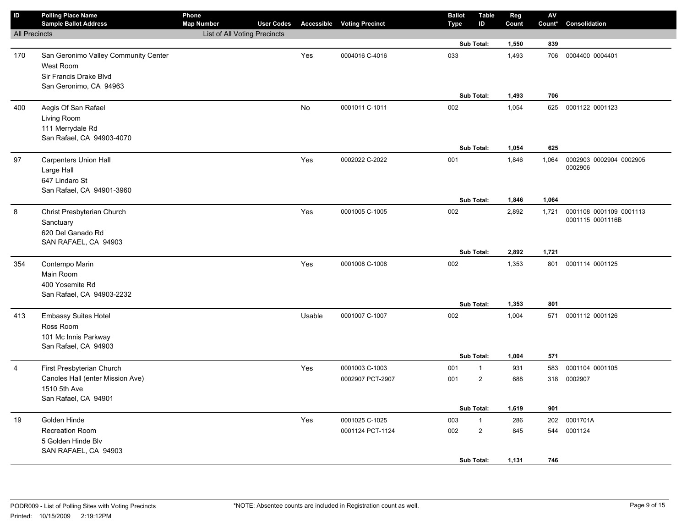| ID                   | <b>Polling Place Name</b><br><b>Sample Ballot Address</b>                            | Phone<br><b>Map Number</b>   | <b>User Codes</b> |        | <b>Accessible Voting Precinct</b>  | <b>Ballot</b><br><b>Type</b> | <b>Table</b><br>ID             | Reg<br>Count   | ${\sf AV}$<br>Count* | Consolidation                               |
|----------------------|--------------------------------------------------------------------------------------|------------------------------|-------------------|--------|------------------------------------|------------------------------|--------------------------------|----------------|----------------------|---------------------------------------------|
| <b>All Precincts</b> |                                                                                      | List of All Voting Precincts |                   |        |                                    |                              |                                |                |                      |                                             |
|                      |                                                                                      |                              |                   |        |                                    |                              | Sub Total:                     | 1,550          | 839                  |                                             |
| 170                  | San Geronimo Valley Community Center<br>West Room<br>Sir Francis Drake Blvd          |                              |                   | Yes    | 0004016 C-4016                     | 033                          |                                | 1,493          | 706                  | 0004400 0004401                             |
|                      | San Geronimo, CA 94963                                                               |                              |                   |        |                                    |                              |                                |                |                      |                                             |
|                      |                                                                                      |                              |                   |        |                                    |                              | Sub Total:                     | 1,493          | 706                  |                                             |
| 400                  | Aegis Of San Rafael<br>Living Room<br>111 Merrydale Rd<br>San Rafael, CA 94903-4070  |                              |                   | No     | 0001011 C-1011                     | 002                          |                                | 1,054          |                      | 625 0001122 0001123                         |
|                      |                                                                                      |                              |                   |        |                                    |                              | Sub Total:                     | 1,054          | 625                  |                                             |
| 97                   | Carpenters Union Hall<br>Large Hall<br>647 Lindaro St<br>San Rafael, CA 94901-3960   |                              |                   | Yes    | 0002022 C-2022                     | 001                          |                                | 1,846          | 1,064                | 0002903 0002904 0002905<br>0002906          |
|                      |                                                                                      |                              |                   |        |                                    |                              | Sub Total:                     | 1,846          | 1,064                |                                             |
| 8                    | Christ Presbyterian Church<br>Sanctuary<br>620 Del Ganado Rd<br>SAN RAFAEL, CA 94903 |                              |                   | Yes    | 0001005 C-1005                     | 002                          | Sub Total:                     | 2,892<br>2,892 | 1,721<br>1,721       | 0001108 0001109 0001113<br>0001115 0001116B |
| 354                  | Contempo Marin                                                                       |                              |                   | Yes    | 0001008 C-1008                     | 002                          |                                | 1,353          | 801                  | 0001114 0001125                             |
|                      | Main Room<br>400 Yosemite Rd<br>San Rafael, CA 94903-2232                            |                              |                   |        |                                    |                              | Sub Total:                     | 1,353          | 801                  |                                             |
| 413                  | <b>Embassy Suites Hotel</b>                                                          |                              |                   | Usable | 0001007 C-1007                     | 002                          |                                | 1,004          |                      | 571 0001112 0001126                         |
|                      | Ross Room<br>101 Mc Innis Parkway<br>San Rafael, CA 94903                            |                              |                   |        |                                    |                              | Sub Total:                     | 1,004          | 571                  |                                             |
| $\overline{4}$       | First Presbyterian Church                                                            |                              |                   | Yes    | 0001003 C-1003                     | 001                          | $\mathbf{1}$                   | 931            | 583                  | 0001104 0001105                             |
|                      | Canoles Hall (enter Mission Ave)<br>1510 5th Ave<br>San Rafael, CA 94901             |                              |                   |        | 0002907 PCT-2907                   | 001                          | $\overline{\mathbf{c}}$        | 688            | 318                  | 0002907                                     |
|                      |                                                                                      |                              |                   |        |                                    |                              | Sub Total:                     | 1,619          | 901                  |                                             |
| 19                   | Golden Hinde<br><b>Recreation Room</b><br>5 Golden Hinde Blv<br>SAN RAFAEL, CA 94903 |                              |                   | Yes    | 0001025 C-1025<br>0001124 PCT-1124 | 003<br>002                   | $\mathbf{1}$<br>$\overline{c}$ | 286<br>845     | 202                  | 0001701A<br>544 0001124                     |
|                      |                                                                                      |                              |                   |        |                                    |                              | <b>Sub Total:</b>              | 1,131          | 746                  |                                             |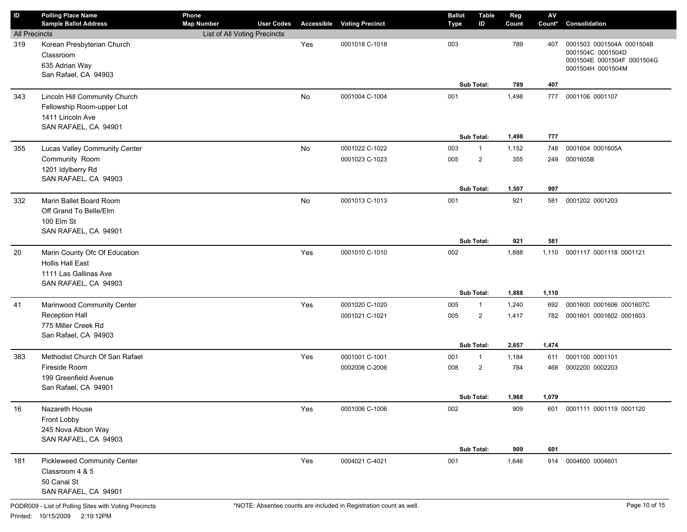| $\sf ID$             | <b>Polling Place Name</b><br><b>Sample Ballot Address</b>                                                 | Phone<br><b>Map Number</b>   | <b>User Codes</b> |     | <b>Accessible Voting Precinct</b> | <b>Ballot</b><br>Type | <b>Table</b><br>ID             | Reg<br>Count   | $\mathsf{A}\mathsf{V}$<br>Count* | Consolidation                                                                                     |
|----------------------|-----------------------------------------------------------------------------------------------------------|------------------------------|-------------------|-----|-----------------------------------|-----------------------|--------------------------------|----------------|----------------------------------|---------------------------------------------------------------------------------------------------|
| <b>All Precincts</b> |                                                                                                           | List of All Voting Precincts |                   |     |                                   |                       |                                |                |                                  |                                                                                                   |
| 319                  | Korean Presbyterian Church<br>Classroom<br>635 Adrian Way<br>San Rafael, CA 94903                         |                              |                   | Yes | 0001018 C-1018                    | 003                   |                                | 789            | 407                              | 0001503 0001504A 0001504B<br>0001504C 0001504D<br>0001504E 0001504F 0001504G<br>0001504H 0001504M |
|                      |                                                                                                           |                              |                   |     |                                   |                       | Sub Total:                     | 789            | 407                              |                                                                                                   |
| 343                  | Lincoln Hill Community Church<br>Fellowship Room-upper Lot<br>1411 Lincoln Ave<br>SAN RAFAEL, CA 94901    |                              |                   | No  | 0001004 C-1004                    | 001                   | Sub Total:                     | 1,498<br>1,498 | 777<br>777                       | 0001106 0001107                                                                                   |
| 355                  | Lucas Valley Community Center                                                                             |                              |                   | No  | 0001022 C-1022                    | 003                   | $\mathbf{1}$                   | 1,152          | 748                              | 0001604 0001605A                                                                                  |
|                      | Community Room<br>1201 Idylberry Rd<br>SAN RAFAEL, CA 94903                                               |                              |                   |     | 0001023 C-1023                    | 005                   | $\overline{2}$                 | 355            | 249                              | 0001605B                                                                                          |
|                      |                                                                                                           |                              |                   |     |                                   |                       | Sub Total:                     | 1,507          | 997                              |                                                                                                   |
| 332                  | Marin Ballet Board Room<br>Off Grand To Belle/Elm<br>100 Elm St<br>SAN RAFAEL, CA 94901                   |                              |                   | No  | 0001013 C-1013                    | 001                   | Sub Total:                     | 921<br>921     | 581<br>581                       | 0001202 0001203                                                                                   |
| 20                   | Marin County Ofc Of Education<br><b>Hollis Hall East</b><br>1111 Las Gallinas Ave<br>SAN RAFAEL, CA 94903 |                              |                   | Yes | 0001010 C-1010                    | 002                   |                                | 1,888          | 1,110                            | 0001117 0001118 0001121                                                                           |
|                      |                                                                                                           |                              |                   |     |                                   |                       | Sub Total:                     | 1,888          | 1,110                            |                                                                                                   |
| 41                   | Marinwood Community Center                                                                                |                              |                   | Yes | 0001020 C-1020                    | 005                   | $\mathbf{1}$                   | 1,240          | 692                              | 0001600 0001606 0001607C                                                                          |
|                      | <b>Reception Hall</b><br>775 Miller Creek Rd<br>San Rafael, CA 94903                                      |                              |                   |     | 0001021 C-1021                    | 005                   | $\overline{2}$                 | 1,417          | 782                              | 0001601 0001602 0001603                                                                           |
|                      |                                                                                                           |                              |                   |     |                                   |                       | Sub Total:                     | 2,657          | 1,474                            |                                                                                                   |
| 383                  | Methodist Church Of San Rafael<br>Fireside Room<br>199 Greenfield Avenue<br>San Rafael, CA 94901          |                              |                   | Yes | 0001001 C-1001<br>0002006 C-2006  | 001<br>008            | $\mathbf{1}$<br>$\overline{2}$ | 1,184<br>784   | 611<br>468                       | 0001100 0001101<br>0002200 0002203                                                                |
|                      |                                                                                                           |                              |                   |     |                                   |                       | Sub Total:                     | 1,968          | 1,079                            |                                                                                                   |
| 16                   | Nazareth House<br>Front Lobby<br>245 Nova Albion Way<br>SAN RAFAEL, CA 94903                              |                              |                   | Yes | 0001006 C-1006                    | 002                   | Sub Total:                     | 909<br>909     | 601<br>601                       | 0001111 0001119 0001120                                                                           |
| 181                  | <b>Pickleweed Community Center</b><br>Classroom 4 & 5<br>50 Canal St<br>SAN RAFAEL, CA 94901              |                              |                   | Yes | 0004021 C-4021                    | 001                   |                                | 1,646          | 914                              | 0004600 0004601                                                                                   |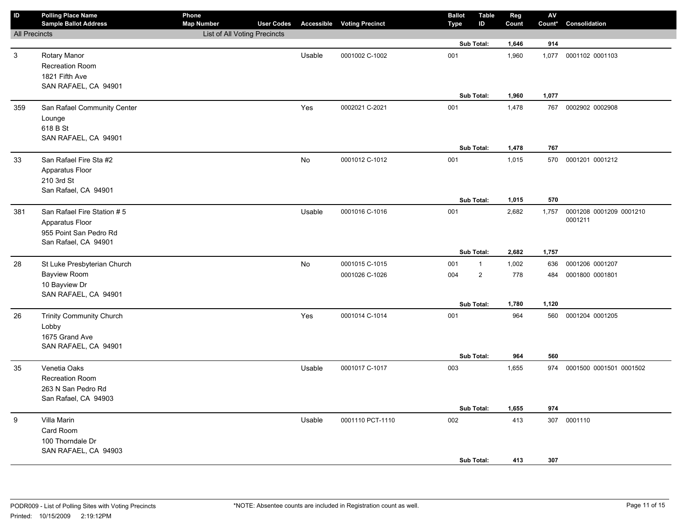| $\sf ID$             | <b>Polling Place Name</b><br><b>Sample Ballot Address</b> | Phone<br><b>Map Number</b>   | <b>User Codes</b> |        | <b>Accessible Voting Precinct</b> | <b>Ballot</b><br>Type | <b>Table</b><br>ID | Reg<br>Count | ${\sf AV}$<br>Count* | Consolidation               |
|----------------------|-----------------------------------------------------------|------------------------------|-------------------|--------|-----------------------------------|-----------------------|--------------------|--------------|----------------------|-----------------------------|
| <b>All Precincts</b> |                                                           | List of All Voting Precincts |                   |        |                                   |                       |                    |              |                      |                             |
|                      |                                                           |                              |                   |        |                                   |                       | Sub Total:         | 1,646        | 914                  |                             |
| $\mathbf{3}$         | Rotary Manor                                              |                              |                   | Usable | 0001002 C-1002                    | 001                   |                    | 1,960        | 1,077                | 0001102 0001103             |
|                      | <b>Recreation Room</b>                                    |                              |                   |        |                                   |                       |                    |              |                      |                             |
|                      | 1821 Fifth Ave                                            |                              |                   |        |                                   |                       |                    |              |                      |                             |
|                      | SAN RAFAEL, CA 94901                                      |                              |                   |        |                                   |                       |                    |              |                      |                             |
|                      |                                                           |                              |                   |        |                                   |                       | Sub Total:         | 1,960        | 1,077                |                             |
| 359                  | San Rafael Community Center                               |                              |                   | Yes    | 0002021 C-2021                    | 001                   |                    | 1,478        | 767                  | 0002902 0002908             |
|                      | Lounge                                                    |                              |                   |        |                                   |                       |                    |              |                      |                             |
|                      | 618 B St<br>SAN RAFAEL, CA 94901                          |                              |                   |        |                                   |                       |                    |              |                      |                             |
|                      |                                                           |                              |                   |        |                                   |                       | Sub Total:         | 1,478        | 767                  |                             |
| 33                   | San Rafael Fire Sta #2                                    |                              |                   | No     | 0001012 C-1012                    | 001                   |                    | 1,015        | 570                  | 0001201 0001212             |
|                      | Apparatus Floor                                           |                              |                   |        |                                   |                       |                    |              |                      |                             |
|                      | 210 3rd St                                                |                              |                   |        |                                   |                       |                    |              |                      |                             |
|                      | San Rafael, CA 94901                                      |                              |                   |        |                                   |                       |                    |              |                      |                             |
|                      |                                                           |                              |                   |        |                                   |                       | Sub Total:         | 1,015        | 570                  |                             |
| 381                  | San Rafael Fire Station # 5                               |                              |                   | Usable | 0001016 C-1016                    | 001                   |                    | 2,682        | 1,757                | 0001208 0001209 0001210     |
|                      | Apparatus Floor                                           |                              |                   |        |                                   |                       |                    |              |                      | 0001211                     |
|                      | 955 Point San Pedro Rd                                    |                              |                   |        |                                   |                       |                    |              |                      |                             |
|                      | San Rafael, CA 94901                                      |                              |                   |        |                                   |                       |                    |              |                      |                             |
|                      |                                                           |                              |                   |        |                                   |                       | Sub Total:         | 2,682        | 1,757                |                             |
| 28                   | St Luke Presbyterian Church                               |                              |                   | No     | 0001015 C-1015                    | 001                   | $\mathbf{1}$       | 1,002        | 636                  | 0001206 0001207             |
|                      | <b>Bayview Room</b>                                       |                              |                   |        | 0001026 C-1026                    | 004                   | $\overline{2}$     | 778          | 484                  | 0001800 0001801             |
|                      | 10 Bayview Dr                                             |                              |                   |        |                                   |                       |                    |              |                      |                             |
|                      | SAN RAFAEL, CA 94901                                      |                              |                   |        |                                   |                       | Sub Total:         | 1,780        | 1,120                |                             |
| 26                   | <b>Trinity Community Church</b>                           |                              |                   | Yes    | 0001014 C-1014                    | 001                   |                    | 964          | 560                  | 0001204 0001205             |
|                      | Lobby                                                     |                              |                   |        |                                   |                       |                    |              |                      |                             |
|                      | 1675 Grand Ave                                            |                              |                   |        |                                   |                       |                    |              |                      |                             |
|                      | SAN RAFAEL, CA 94901                                      |                              |                   |        |                                   |                       |                    |              |                      |                             |
|                      |                                                           |                              |                   |        |                                   |                       | Sub Total:         | 964          | 560                  |                             |
| 35                   | Venetia Oaks                                              |                              |                   | Usable | 0001017 C-1017                    | 003                   |                    | 1,655        |                      | 974 0001500 0001501 0001502 |
|                      | <b>Recreation Room</b>                                    |                              |                   |        |                                   |                       |                    |              |                      |                             |
|                      | 263 N San Pedro Rd                                        |                              |                   |        |                                   |                       |                    |              |                      |                             |
|                      | San Rafael, CA 94903                                      |                              |                   |        |                                   |                       |                    |              |                      |                             |
|                      |                                                           |                              |                   |        |                                   |                       | Sub Total:         | 1,655        | 974                  |                             |
| 9                    | Villa Marin                                               |                              |                   | Usable | 0001110 PCT-1110                  | 002                   |                    | 413          |                      | 307 0001110                 |
|                      | Card Room                                                 |                              |                   |        |                                   |                       |                    |              |                      |                             |
|                      | 100 Thorndale Dr                                          |                              |                   |        |                                   |                       |                    |              |                      |                             |
|                      | SAN RAFAEL, CA 94903                                      |                              |                   |        |                                   |                       | Sub Total:         | 413          | 307                  |                             |
|                      |                                                           |                              |                   |        |                                   |                       |                    |              |                      |                             |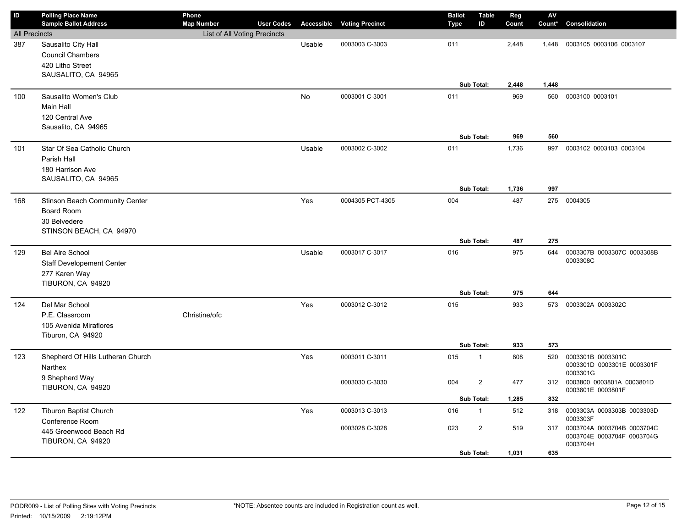| ID                   | <b>Polling Place Name</b><br><b>Sample Ballot Address</b> | Phone<br><b>Map Number</b>   | <b>User Codes</b> | Accessible | <b>Voting Precinct</b> | <b>Ballot</b><br><b>Type</b> | <b>Table</b><br>ID | Reg<br>Count | AV<br>Count* | Consolidation                                   |
|----------------------|-----------------------------------------------------------|------------------------------|-------------------|------------|------------------------|------------------------------|--------------------|--------------|--------------|-------------------------------------------------|
| <b>All Precincts</b> |                                                           | List of All Voting Precincts |                   |            |                        |                              |                    |              |              |                                                 |
| 387                  | Sausalito City Hall                                       |                              |                   | Usable     | 0003003 C-3003         | 011                          |                    | 2,448        | 1,448        | 0003105 0003106 0003107                         |
|                      | <b>Council Chambers</b>                                   |                              |                   |            |                        |                              |                    |              |              |                                                 |
|                      | 420 Litho Street                                          |                              |                   |            |                        |                              |                    |              |              |                                                 |
|                      | SAUSALITO, CA 94965                                       |                              |                   |            |                        |                              | Sub Total:         | 2,448        | 1,448        |                                                 |
| 100                  | Sausalito Women's Club                                    |                              |                   | No         | 0003001 C-3001         | 011                          |                    | 969          | 560          | 0003100 0003101                                 |
|                      | Main Hall                                                 |                              |                   |            |                        |                              |                    |              |              |                                                 |
|                      | 120 Central Ave                                           |                              |                   |            |                        |                              |                    |              |              |                                                 |
|                      | Sausalito, CA 94965                                       |                              |                   |            |                        |                              |                    |              |              |                                                 |
|                      |                                                           |                              |                   |            |                        |                              | Sub Total:         | 969          | 560          |                                                 |
| 101                  | Star Of Sea Catholic Church                               |                              |                   | Usable     | 0003002 C-3002         | 011                          |                    | 1,736        | 997          | 0003102 0003103 0003104                         |
|                      | Parish Hall                                               |                              |                   |            |                        |                              |                    |              |              |                                                 |
|                      | 180 Harrison Ave                                          |                              |                   |            |                        |                              |                    |              |              |                                                 |
|                      | SAUSALITO, CA 94965                                       |                              |                   |            |                        |                              | Sub Total:         | 1,736        | 997          |                                                 |
| 168                  | Stinson Beach Community Center                            |                              |                   | Yes        | 0004305 PCT-4305       | 004                          |                    | 487          | 275          | 0004305                                         |
|                      | <b>Board Room</b>                                         |                              |                   |            |                        |                              |                    |              |              |                                                 |
|                      | 30 Belvedere                                              |                              |                   |            |                        |                              |                    |              |              |                                                 |
|                      | STINSON BEACH, CA 94970                                   |                              |                   |            |                        |                              |                    |              |              |                                                 |
|                      |                                                           |                              |                   |            |                        |                              | Sub Total:         | 487          | 275          |                                                 |
| 129                  | <b>Bel Aire School</b>                                    |                              |                   | Usable     | 0003017 C-3017         | 016                          |                    | 975          | 644          | 0003307B 0003307C 0003308B                      |
|                      | <b>Staff Developement Center</b>                          |                              |                   |            |                        |                              |                    |              |              | 0003308C                                        |
|                      | 277 Karen Way                                             |                              |                   |            |                        |                              |                    |              |              |                                                 |
|                      | TIBURON, CA 94920                                         |                              |                   |            |                        |                              | Sub Total:         | 975          | 644          |                                                 |
| 124                  | Del Mar School                                            |                              |                   | Yes        | 0003012 C-3012         | 015                          |                    | 933          |              | 573 0003302A 0003302C                           |
|                      | P.E. Classroom                                            | Christine/ofc                |                   |            |                        |                              |                    |              |              |                                                 |
|                      | 105 Avenida Miraflores                                    |                              |                   |            |                        |                              |                    |              |              |                                                 |
|                      | Tiburon, CA 94920                                         |                              |                   |            |                        |                              |                    |              |              |                                                 |
|                      |                                                           |                              |                   |            |                        |                              | Sub Total:         | 933          | 573          |                                                 |
| 123                  | Shepherd Of Hills Lutheran Church                         |                              |                   | Yes        | 0003011 C-3011         | 015                          | $\mathbf{1}$       | 808          | 520          | 0003301B 0003301C<br>0003301D 0003301E 0003301F |
|                      | Narthex                                                   |                              |                   |            |                        |                              |                    |              |              | 0003301G                                        |
|                      | 9 Shepherd Way<br>TIBURON, CA 94920                       |                              |                   |            | 0003030 C-3030         | 004                          | $\overline{2}$     | 477          | 312          | 0003800 0003801A 0003801D                       |
|                      |                                                           |                              |                   |            |                        |                              | Sub Total:         | 1,285        | 832          | 0003801E 0003801F                               |
|                      | <b>Tiburon Baptist Church</b>                             |                              |                   | Yes        | 0003013 C-3013         | 016                          | $\mathbf{1}$       | 512          | 318          | 0003303A 0003303B 0003303D                      |
| 122                  | Conference Room                                           |                              |                   |            |                        |                              |                    |              |              | 0003303F                                        |
|                      | 445 Greenwood Beach Rd                                    |                              |                   |            | 0003028 C-3028         | 023                          | $\overline{2}$     | 519          | 317          | 0003704A 0003704B 0003704C                      |
|                      | TIBURON, CA 94920                                         |                              |                   |            |                        |                              |                    |              |              | 0003704E 0003704F 0003704G<br>0003704H          |
|                      |                                                           |                              |                   |            |                        |                              | Sub Total:         | 1,031        | 635          |                                                 |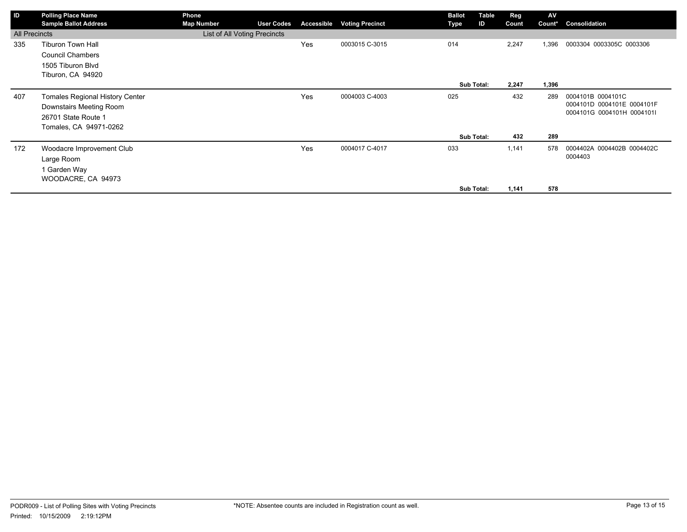| ID                   | <b>Polling Place Name</b><br><b>Sample Ballot Address</b> | Phone<br><b>Map Number</b>   | <b>User Codes</b> | Accessible | <b>Voting Precinct</b> | <b>Ballot</b><br>Type | Table<br>ID | Reg<br>Count | AV<br>Count* | Consolidation                                            |
|----------------------|-----------------------------------------------------------|------------------------------|-------------------|------------|------------------------|-----------------------|-------------|--------------|--------------|----------------------------------------------------------|
| <b>All Precincts</b> |                                                           | List of All Voting Precincts |                   |            |                        |                       |             |              |              |                                                          |
| 335                  | <b>Tiburon Town Hall</b>                                  |                              |                   | Yes        | 0003015 C-3015         | 014                   |             | 2,247        | 1,396        | 0003304 0003305C 0003306                                 |
|                      | <b>Council Chambers</b>                                   |                              |                   |            |                        |                       |             |              |              |                                                          |
|                      | 1505 Tiburon Blvd                                         |                              |                   |            |                        |                       |             |              |              |                                                          |
|                      | Tiburon, CA 94920                                         |                              |                   |            |                        |                       |             |              |              |                                                          |
|                      |                                                           |                              |                   |            |                        |                       | Sub Total:  | 2,247        | 1,396        |                                                          |
| 407                  | <b>Tomales Regional History Center</b>                    |                              |                   | Yes        | 0004003 C-4003         | 025                   |             | 432          | 289          | 0004101B 0004101C                                        |
|                      | Downstairs Meeting Room                                   |                              |                   |            |                        |                       |             |              |              | 0004101D 0004101E 0004101F<br>0004101G 0004101H 0004101I |
|                      | 26701 State Route 1                                       |                              |                   |            |                        |                       |             |              |              |                                                          |
|                      | Tomales, CA 94971-0262                                    |                              |                   |            |                        |                       |             |              |              |                                                          |
|                      |                                                           |                              |                   |            |                        |                       | Sub Total:  | 432          | 289          |                                                          |
| 172                  | Woodacre Improvement Club                                 |                              |                   | Yes        | 0004017 C-4017         | 033                   |             | 1,141        | 578          | 0004402A 0004402B 0004402C                               |
|                      | Large Room                                                |                              |                   |            |                        |                       |             |              |              | 0004403                                                  |
|                      | 1 Garden Way                                              |                              |                   |            |                        |                       |             |              |              |                                                          |
|                      | WOODACRE, CA 94973                                        |                              |                   |            |                        |                       |             |              |              |                                                          |
|                      |                                                           |                              |                   |            |                        |                       | Sub Total:  | 1,141        | 578          |                                                          |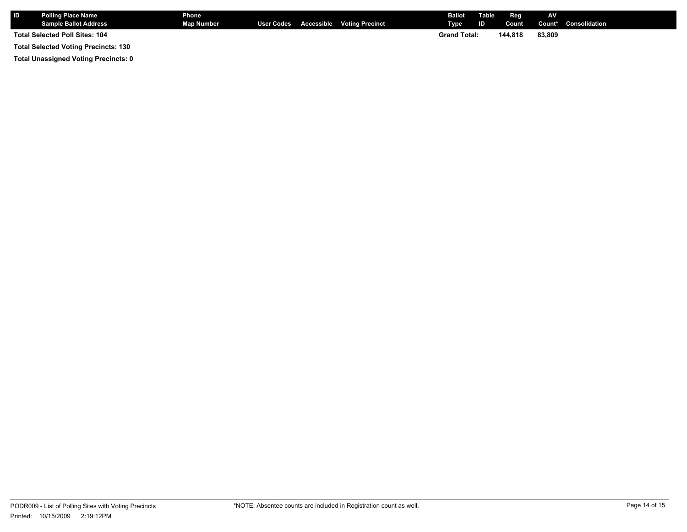| <b>IID</b>                     | <b>Polling Place Name</b><br><b>Sample Ballot Address</b> | Phone<br><b>Map Number</b> |  |  | User Codes Accessible Voting Precinct | <b>Ballot</b><br>Type <sup>1</sup> | Table<br>ID | Reg<br>Count | AV     | <b>Count*</b> Consolidation |
|--------------------------------|-----------------------------------------------------------|----------------------------|--|--|---------------------------------------|------------------------------------|-------------|--------------|--------|-----------------------------|
| Total Selected Poll Sites: 104 |                                                           |                            |  |  |                                       | <b>Grand Total:</b>                |             | 144.818      | 83,809 |                             |
|                                | <b>Total Selected Voting Precincts: 130</b>               |                            |  |  |                                       |                                    |             |              |        |                             |

**Total Unassigned Voting Precincts: 0**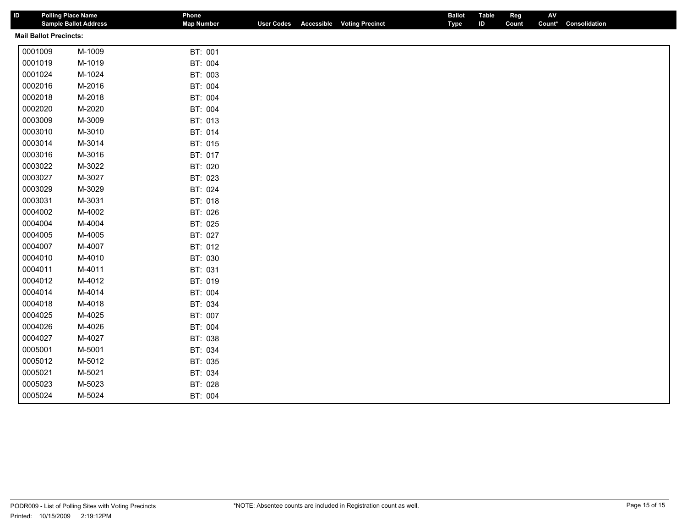| ID                            | <b>Polling Place Name</b><br><b>Sample Ballot Address</b> | Phone<br><b>Map Number</b> | <b>User Codes</b> | <b>Accessible Voting Precinct</b> | <b>Ballot</b><br><b>Type</b> | <b>Table</b><br>Reg<br>ID<br>Count | AV<br>Count* | Consolidation |  |
|-------------------------------|-----------------------------------------------------------|----------------------------|-------------------|-----------------------------------|------------------------------|------------------------------------|--------------|---------------|--|
| <b>Mail Ballot Precincts:</b> |                                                           |                            |                   |                                   |                              |                                    |              |               |  |
| 0001009                       | M-1009                                                    | BT: 001                    |                   |                                   |                              |                                    |              |               |  |
| 0001019                       | M-1019                                                    | BT: 004                    |                   |                                   |                              |                                    |              |               |  |
| 0001024                       | M-1024                                                    | BT: 003                    |                   |                                   |                              |                                    |              |               |  |
| 0002016                       | M-2016                                                    | BT: 004                    |                   |                                   |                              |                                    |              |               |  |
| 0002018                       | M-2018                                                    | BT: 004                    |                   |                                   |                              |                                    |              |               |  |
| 0002020                       | M-2020                                                    | BT: 004                    |                   |                                   |                              |                                    |              |               |  |
| 0003009                       | M-3009                                                    | BT: 013                    |                   |                                   |                              |                                    |              |               |  |
| 0003010                       | M-3010                                                    | BT: 014                    |                   |                                   |                              |                                    |              |               |  |
| 0003014                       | M-3014                                                    | BT: 015                    |                   |                                   |                              |                                    |              |               |  |
| 0003016                       | M-3016                                                    | BT: 017                    |                   |                                   |                              |                                    |              |               |  |
| 0003022                       | M-3022                                                    | BT: 020                    |                   |                                   |                              |                                    |              |               |  |
| 0003027                       | M-3027                                                    | BT: 023                    |                   |                                   |                              |                                    |              |               |  |
| 0003029                       | M-3029                                                    | BT: 024                    |                   |                                   |                              |                                    |              |               |  |
| 0003031                       | M-3031                                                    | BT: 018                    |                   |                                   |                              |                                    |              |               |  |
| 0004002                       | M-4002                                                    | BT: 026                    |                   |                                   |                              |                                    |              |               |  |
| 0004004                       | M-4004                                                    | BT: 025                    |                   |                                   |                              |                                    |              |               |  |
| 0004005                       | M-4005                                                    | BT: 027                    |                   |                                   |                              |                                    |              |               |  |
| 0004007                       | M-4007                                                    | BT: 012                    |                   |                                   |                              |                                    |              |               |  |
| 0004010                       | M-4010                                                    | BT: 030                    |                   |                                   |                              |                                    |              |               |  |
| 0004011                       | M-4011                                                    | BT: 031                    |                   |                                   |                              |                                    |              |               |  |
| 0004012                       | M-4012                                                    | BT: 019                    |                   |                                   |                              |                                    |              |               |  |
| 0004014                       | M-4014                                                    | BT: 004                    |                   |                                   |                              |                                    |              |               |  |
| 0004018                       | M-4018                                                    | BT: 034                    |                   |                                   |                              |                                    |              |               |  |
| 0004025                       | M-4025                                                    | BT: 007                    |                   |                                   |                              |                                    |              |               |  |
| 0004026                       | M-4026                                                    | BT: 004                    |                   |                                   |                              |                                    |              |               |  |
| 0004027                       | M-4027                                                    | BT: 038                    |                   |                                   |                              |                                    |              |               |  |
| 0005001                       | M-5001                                                    | BT: 034                    |                   |                                   |                              |                                    |              |               |  |
| 0005012                       | M-5012                                                    | BT: 035                    |                   |                                   |                              |                                    |              |               |  |
| 0005021                       | M-5021                                                    | BT: 034                    |                   |                                   |                              |                                    |              |               |  |
| 0005023                       | M-5023                                                    | BT: 028                    |                   |                                   |                              |                                    |              |               |  |
| 0005024                       | M-5024                                                    | BT: 004                    |                   |                                   |                              |                                    |              |               |  |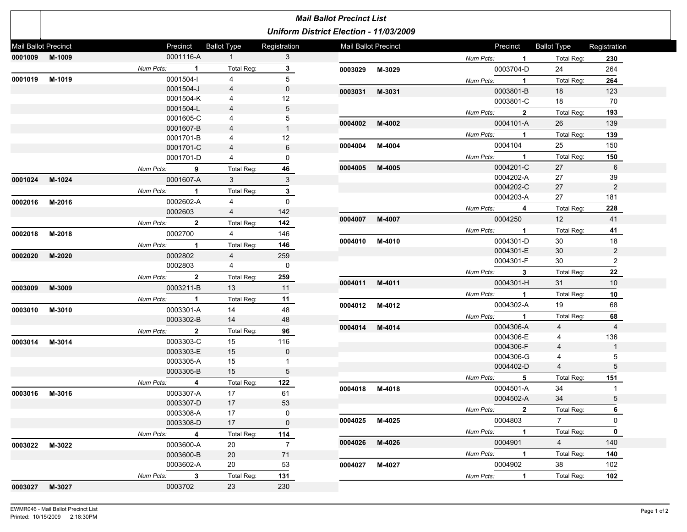|                      |        |             |                          |                                  |                 | <b>Mail Ballot Precinct List</b>       |        |             |                |                    |                      |
|----------------------|--------|-------------|--------------------------|----------------------------------|-----------------|----------------------------------------|--------|-------------|----------------|--------------------|----------------------|
|                      |        |             |                          |                                  |                 | Uniform District Election - 11/03/2009 |        |             |                |                    |                      |
| Mail Ballot Precinct |        |             | Precinct                 | <b>Ballot Type</b>               | Registration    | Mail Ballot Precinct                   |        |             | Precinct       | <b>Ballot Type</b> | Registration         |
| 0001009 M-1009       |        |             | 0001116-A                | 1                                | 3               |                                        |        | Num Pcts:   | $\sim$ 1       | Total Reg:         | 230                  |
|                      |        | Num Pcts: 1 |                          | Total Req:                       | $\mathbf{3}$    | 0003029 M-3029                         |        |             | 0003704-D      | 24                 | 264                  |
| 0001019 M-1019       |        | 0001504-I   |                          | $\overline{4}$                   | 5               |                                        |        | Num Pcts: 1 |                | Total Reg:         | 264                  |
|                      |        |             | 0001504-J                | $\overline{4}$                   | $\mathbf 0$     | 0003031 M-3031                         |        |             | 0003801-B      | 18                 | 123                  |
|                      |        |             | 0001504-K                | 4                                | 12              |                                        |        |             | 0003801-C      | 18                 | 70                   |
|                      |        |             | 0001504-L                | 4                                | 5               |                                        |        | Num Pcts:   | $\overline{2}$ | Total Reg:         | 193                  |
|                      |        |             | 0001605-C                | 4                                | 5               | 0004002 M-4002                         |        |             | 0004101-A      | 26                 | 139                  |
|                      |        |             | 0001607-B                | $\overline{4}$                   | $\mathbf{1}$    |                                        |        | Num Pcts:   | $\overline{1}$ | Total Reg:         | 139                  |
|                      |        |             | 0001701-B                | 4                                | 12<br>6         | 0004004                                | M-4004 |             | 0004104        | 25                 | 150                  |
|                      |        |             | 0001701-C<br>0001701-D   | $\overline{4}$<br>$\overline{4}$ | 0               |                                        |        | Num Pcts: 1 |                | Total Reg:         | 150                  |
|                      |        |             |                          |                                  |                 | 0004005                                | M-4005 |             | 0004201-C      | 27                 | 6                    |
|                      |        | Num Pcts:   | $\overline{\phantom{a}}$ | Total Reg:                       | 46              |                                        |        |             | 0004202-A      | 27                 | 39                   |
| 0001024 M-1024       |        |             | 0001607-A                | $3^{\circ}$                      | 3               |                                        |        |             | 0004202-C      | 27                 | 2                    |
|                      |        | Num Pcts: 1 |                          | Total Reg:                       | $\mathbf{3}$    |                                        |        |             | 0004203-A      | 27                 | 181                  |
| 0002016              | M-2016 |             | 0002602-A                | $\overline{4}$                   | $\mathbf{0}$    |                                        |        | Num Pcts:   | 4              | Total Reg:         | 228                  |
|                      |        | 0002603     |                          | 4                                | 142             | 0004007 M-4007                         |        |             | 0004250        | $12 \overline{ }$  | 41                   |
|                      |        | Num Pcts:   | $\overline{\mathbf{2}}$  | Total Reg:                       | 142             |                                        |        |             |                |                    |                      |
| 0002018              | M-2018 | 0002700     |                          | 4                                | 146             |                                        |        | Num Pcts: 1 | 0004301-D      | Total Reg:         | 41                   |
|                      |        | Num Pcts: 1 |                          | Total Reg:                       | 146             | 0004010 M-4010                         |        |             | 0004301-E      | 30<br>30           | 18<br>$\overline{2}$ |
| 0002020              | M-2020 | 0002802     |                          | 4                                | 259             |                                        |        |             | 0004301-F      | 30                 | 2                    |
|                      |        | 0002803     |                          | $\overline{4}$                   | 0               |                                        |        |             |                |                    |                      |
|                      |        | Num Pcts: 2 |                          | Total Reg:                       | 259             |                                        |        | Num Pcts:   | $\mathbf{3}$   | Total Reg:         | 22                   |
| 0003009              | M-3009 |             | 0003211-B                | 13                               | 11              | 0004011 M-4011                         |        |             | 0004301-H      | 31                 | 10                   |
|                      |        | Num Pcts: 1 |                          | Total Reg:                       | 11              |                                        |        | Num Pcts:   | $\mathbf{1}$   | Total Reg:         | 10                   |
| 0003010 M-3010       |        |             | 0003301-A                | 14                               | 48              | 0004012 M-4012                         |        |             | 0004302-A      | 19                 | 68                   |
|                      |        |             | 0003302-B                | 14                               | 48              |                                        |        | Num Pcts:   | $\sim$ 1       | <b>Total Reg:</b>  | 68                   |
|                      |        | Num Pcts: 2 |                          | Total Reg:                       | 96              | 0004014 M-4014                         |        |             | 0004306-A      | $\overline{4}$     | $\overline{4}$       |
| 0003014 M-3014       |        |             | 0003303-C                | 15                               | 116             |                                        |        |             | 0004306-E      | 4                  | 136                  |
|                      |        |             | 0003303-E                | 15                               | $\mathbf 0$     |                                        |        |             | 0004306-F      | $\overline{4}$     | $\mathbf{1}$         |
|                      |        |             | 0003305-A                | 15                               | $\mathbf{1}$    |                                        |        |             | 0004306-G      | 4                  | 5                    |
|                      |        |             | 0003305-B                | 15                               | $5\phantom{.0}$ |                                        |        |             | 0004402-D      | $\overline{4}$     | 5                    |
|                      |        | Num Pcts:   | $\overline{\mathbf{4}}$  | Total Reg:                       | 122             |                                        |        | Num Pcts:   | 5              | Total Reg:         | 151                  |
| 0003016 M-3016       |        |             | 0003307-A                | 17                               | 61              | 0004018                                | M-4018 |             | 0004501-A      | 34                 | $\mathbf{1}$         |
|                      |        |             | 0003307-D                | 17                               | 53              |                                        |        |             | 0004502-A      | 34                 | 5                    |
|                      |        |             | 0003308-A                | 17                               | 0               |                                        |        | Num Pcts:   | $\overline{2}$ | Total Reg:         | 6                    |
|                      |        |             | 0003308-D                | 17                               | $\mathbf 0$     | 0004025 M-4025                         |        |             | 0004803        | $7^{\circ}$        | 0                    |
|                      |        | Num Pcts: 4 |                          | Total Reg:                       | 114             |                                        |        | Num Pcts:   | $\blacksquare$ | Total Reg:         | $\mathbf 0$          |
| 0003022 M-3022       |        |             | 0003600-A                | 20                               | $\overline{7}$  | 0004026 M-4026                         |        |             | 0004901        | 4                  | 140                  |
|                      |        |             | 0003600-B                | 20                               | 71              |                                        |        | Num Pcts: 1 |                | Total Reg:         | 140                  |
|                      |        |             | 0003602-A                | 20                               | 53              | 0004027 M-4027                         |        |             | 0004902        | 38                 | 102                  |
|                      |        | Num Pcts: 3 |                          | Total Reg:                       | 131             |                                        |        | Num Pcts:   | $\mathbf{1}$   | Total Reg:         | 102                  |
| 0003027 M-3027       |        | 0003702     |                          | 23                               | 230             |                                        |        |             |                |                    |                      |
|                      |        |             |                          |                                  |                 |                                        |        |             |                |                    |                      |